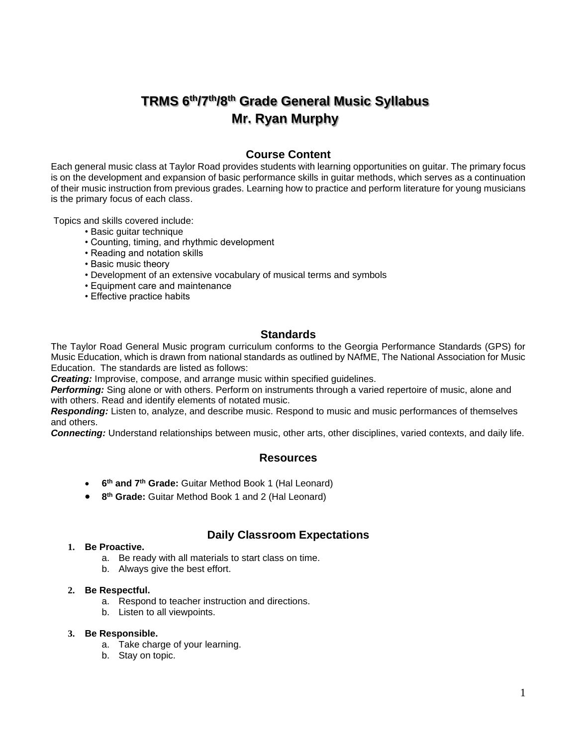# **TRMS 6 th/7th/8th Grade General Music Syllabus Mr. Ryan Murphy**

# **Course Content**

Each general music class at Taylor Road provides students with learning opportunities on guitar. The primary focus is on the development and expansion of basic performance skills in guitar methods, which serves as a continuation of their music instruction from previous grades. Learning how to practice and perform literature for young musicians is the primary focus of each class.

Topics and skills covered include:

- Basic guitar technique
- Counting, timing, and rhythmic development
- Reading and notation skills
- Basic music theory
- Development of an extensive vocabulary of musical terms and symbols
- Equipment care and maintenance
- Effective practice habits

## **Standards**

The Taylor Road General Music program curriculum conforms to the Georgia Performance Standards (GPS) for Music Education, which is drawn from national standards as outlined by NAfME, The National Association for Music Education. The standards are listed as follows:

*Creating:* Improvise, compose, and arrange music within specified guidelines.

*Performing:* Sing alone or with others. Perform on instruments through a varied repertoire of music, alone and with others. Read and identify elements of notated music.

*Responding:* Listen to, analyze, and describe music. Respond to music and music performances of themselves and others.

*Connecting:* Understand relationships between music, other arts, other disciplines, varied contexts, and daily life.

## **Resources**

- **6 th and 7th Grade:** Guitar Method Book 1 (Hal Leonard)
- **8 th Grade:** Guitar Method Book 1 and 2 (Hal Leonard)

## **Daily Classroom Expectations**

#### **1. Be Proactive.**

- a. Be ready with all materials to start class on time.
- b. Always give the best effort.

#### **2. Be Respectful.**

- a. Respond to teacher instruction and directions.
- b. Listen to all viewpoints.

#### **3. Be Responsible.**

- a. Take charge of your learning.
- b. Stay on topic.